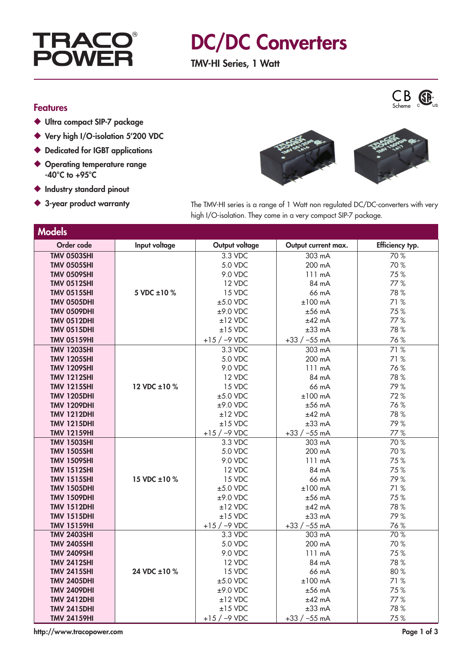

## DC/DC Converters

TMV-HI Series, 1 Watt



- ◆ Ultra compact SIP-7 package
- ◆ Very high I/O-isolation 5'200 VDC
- ◆ Dedicated for IGBT applications
- ◆ Operating temperature range  $-40^{\circ}$ C to  $+95^{\circ}$ C
- ◆ Industry standard pinout
- 



3-year product warranty The TMV-HI series is a range of 1 Watt non regulated DC/DC-converters with very high I/O-isolation. They come in a very compact SIP-7 package.

| <b>Models</b>      |               |                |                     |                 |
|--------------------|---------------|----------------|---------------------|-----------------|
| Order code         | Input voltage | Output voltage | Output current max. | Efficiency typ. |
| <b>TMV 0503SHI</b> |               | 3.3 VDC        | 303 mA              | 70%             |
| <b>TMV 0505SHI</b> |               | 5.0 VDC        | 200 mA              | 70%             |
| <b>TMV 0509SHI</b> |               | 9.0 VDC        | 111 mA              | 75%             |
| <b>TMV 0512SHI</b> |               | 12 VDC         | 84 mA               | 77%             |
| <b>TMV 0515SHI</b> | 5 VDC ±10 %   | 15 VDC         | 66 mA               | 78%             |
| <b>TMV 0505DHI</b> |               | $±5.0$ VDC     | $±100$ mA           | 71%             |
| <b>TMV 0509DHI</b> |               | $±9.0$ VDC     | $±56$ mA            | 75%             |
| <b>TMV 0512DHI</b> |               | $±12$ VDC      | $±42$ mA            | 77%             |
| <b>TMV 0515DHI</b> |               | $±15$ VDC      | $±33$ mA            | 78%             |
| <b>TMV 05159HI</b> |               | $+15$ / -9 VDC | $+33 / -55$ mA      | 76%             |
| <b>TMV 1203SHI</b> |               | 3.3 VDC        | 303 mA              | 71%             |
| <b>TMV 1205SHI</b> |               | 5.0 VDC        | 200 mA              | 71%             |
| <b>TMV 1209SHI</b> |               | 9.0 VDC        | $111 \text{ mA}$    | 76%             |
| <b>TMV 1212SHI</b> |               | 12 VDC         | 84 mA               | 78%             |
| <b>TMV 1215SHI</b> | 12 VDC ±10 %  | 15 VDC         | 66 mA               | 79%             |
| <b>TMV 1205DHI</b> |               | $±5.0$ VDC     | $±100$ mA           | 72%             |
| <b>TMV 1209DHI</b> |               | $±9.0$ VDC     | $±56$ mA            | 76%             |
| <b>TMV 1212DHI</b> |               | $±12$ VDC      | $±42$ mA            | 78%             |
| <b>TMV 1215DHI</b> |               | $±15$ VDC      | $±33$ mA            | 79%             |
| <b>TMV 12159HI</b> |               | $+15$ / -9 VDC | $+33 / -55$ mA      | 77%             |
| <b>TMV 1503SHI</b> |               | 3.3 VDC        | 303 mA              | 70%             |
| <b>TMV 1505SHI</b> |               | 5.0 VDC        | 200 mA              | 70%             |
| <b>TMV 1509SHI</b> |               | 9.0 VDC        | 111 mA              | 75%             |
| <b>TMV 1512SHI</b> |               | 12 VDC         | 84 mA               | 75%             |
| <b>TMV 1515SHI</b> | 15 VDC ±10 %  | 15 VDC         | 66 mA               | 79%             |
| <b>TMV 1505DHI</b> |               | $±5.0$ VDC     | $±100$ mA           | 71%             |
| <b>TMV 1509DHI</b> |               | $±9.0$ VDC     | $±56$ mA            | 75%             |
| <b>TMV 1512DHI</b> |               | $±12$ VDC      | $±42$ mA            | 78%             |
| <b>TMV 1515DHI</b> |               | $±15$ VDC      | $±33$ mA            | 79%             |
| <b>TMV 15159HI</b> |               | $+15$ / -9 VDC | $+33 / -55$ mA      | 76%             |
| <b>TMV 2403SHI</b> |               | 3.3 VDC        | 303 mA              | 70%             |
| <b>TMV 2405SHI</b> |               | 5.0 VDC        | 200 mA              | 70%             |
| <b>TMV 2409SHI</b> |               | 9.0 VDC        | 111 mA              | 75%             |
| <b>TMV 2412SHI</b> |               | 12 VDC         | 84 mA               | 78 %            |
| <b>TMV 2415SHI</b> | 24 VDC ±10 %  | 15 VDC         | 66 mA               | 80%             |
| <b>TMV 2405DHI</b> |               | $±5.0$ VDC     | $±100$ mA           | 71%             |
| <b>TMV 2409DHI</b> |               | ±9.0 VDC       | $±56$ mA            | 75%             |
| <b>TMV 2412DHI</b> |               | $±12$ VDC      | $±42$ mA            | 77%             |
| <b>TMV 2415DHI</b> |               | $±15$ VDC      | $±33$ mA            | 78%             |
| <b>TMV 24159HI</b> |               | $+15$ / -9 VDC | $+33 / -55$ mA      | 75%             |

http://www.tracopower.com Page 1 of 3

CB Scheme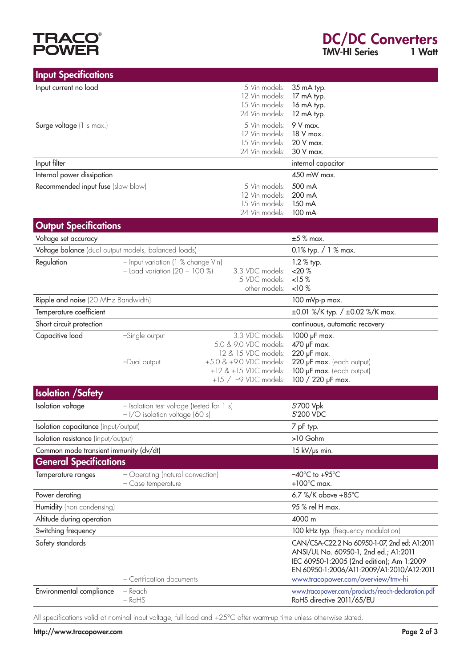## **TRACO<sup>®</sup>**<br>POWER

| <b>Input Specifications</b>                          |                                                                               |                                                                                                                                                                   |                                                                                                                                                                                                                       |
|------------------------------------------------------|-------------------------------------------------------------------------------|-------------------------------------------------------------------------------------------------------------------------------------------------------------------|-----------------------------------------------------------------------------------------------------------------------------------------------------------------------------------------------------------------------|
| Input current no load                                |                                                                               | 5 Vin models:<br>12 Vin models:<br>15 Vin models:<br>24 Vin models:                                                                                               | 35 mA typ.<br>17 mA typ.<br>16 mA typ.<br>12 mA typ.                                                                                                                                                                  |
| Surge voltage (1 s max.)                             |                                                                               | 5 Vin models:<br>12 Vin models:<br>15 Vin models:<br>24 Vin models:                                                                                               | 9 V max.<br>18 V max.<br>20 V max.<br>30 V max.                                                                                                                                                                       |
| Input filter                                         |                                                                               |                                                                                                                                                                   | internal capacitor                                                                                                                                                                                                    |
| Internal power dissipation                           |                                                                               |                                                                                                                                                                   | 450 mW max.                                                                                                                                                                                                           |
| Recommended input fuse (slow blow)                   |                                                                               | 5 Vin models:<br>12 Vin models:<br>15 Vin models:<br>24 Vin models:                                                                                               | 500 mA<br>200 mA<br>150 mA<br>100 mA                                                                                                                                                                                  |
| <b>Output Specifications</b>                         |                                                                               |                                                                                                                                                                   |                                                                                                                                                                                                                       |
| Voltage set accuracy                                 |                                                                               |                                                                                                                                                                   | $±5$ % max.                                                                                                                                                                                                           |
| Voltage balance (dual output models, balanced loads) |                                                                               |                                                                                                                                                                   | 0.1% typ. $/ 1$ % max.                                                                                                                                                                                                |
| Regulation                                           | - Input variation (1 % change Vin)<br>$-$ Load variation (20 - 100 %)         | 3.3 VDC models:<br>5 VDC models:<br>other models:                                                                                                                 | 1.2 % typ.<br>$<$ 20 $%$<br><15%<br>$10\%$                                                                                                                                                                            |
| Ripple and noise (20 MHz Bandwidth)                  |                                                                               |                                                                                                                                                                   | 100 mVp-p max.                                                                                                                                                                                                        |
| Temperature coefficient                              |                                                                               |                                                                                                                                                                   | $\pm 0.01$ %/K typ. / $\pm 0.02$ %/K max.                                                                                                                                                                             |
| Short circuit protection                             |                                                                               |                                                                                                                                                                   | continuous, automatic recovery                                                                                                                                                                                        |
| Capacitive load                                      | -Single output<br>-Dual output                                                | 3.3 VDC models:<br>5.0 & 9.0 VDC models:<br>12 & 15 VDC models:<br>$\pm 5.0$ & $\pm 9.0$ VDC models:<br>$\pm$ 12 & $\pm$ 15 VDC models:<br>$+15$ / -9 VDC models: | 1000 µF max.<br>470 µF max.<br>220 µF max.<br>220 µF max. (each output)<br>100 µF max. (each output)<br>100 / 220 µF max.                                                                                             |
| <b>Isolation /Safety</b>                             |                                                                               |                                                                                                                                                                   |                                                                                                                                                                                                                       |
| Isolation voltage                                    | - Isolation test voltage (tested for 1 s)<br>$-1$ /O isolation voltage (60 s) |                                                                                                                                                                   | 5'700 Vpk<br>5'200 VDC                                                                                                                                                                                                |
| Isolation capacitance (input/output)                 |                                                                               |                                                                                                                                                                   | 7 pF typ.                                                                                                                                                                                                             |
| Isolation resistance (input/output)                  |                                                                               |                                                                                                                                                                   | >10 Gohm                                                                                                                                                                                                              |
| Common mode transient immunity (dv/dt)               |                                                                               |                                                                                                                                                                   | 15 kV/µs min.                                                                                                                                                                                                         |
| <b>General Specifications</b>                        |                                                                               |                                                                                                                                                                   |                                                                                                                                                                                                                       |
| Temperature ranges                                   | - Operating (natural convection)<br>- Case temperature                        |                                                                                                                                                                   | $-40^{\circ}$ C to $+95^{\circ}$ C<br>$+100^{\circ}$ C max.                                                                                                                                                           |
| Power derating                                       |                                                                               |                                                                                                                                                                   | 6.7 %/K above +85°C                                                                                                                                                                                                   |
| Humidity (non condensing)                            |                                                                               |                                                                                                                                                                   | 95 % rel H max.                                                                                                                                                                                                       |
| Altitude during operation                            |                                                                               |                                                                                                                                                                   | 4000 m                                                                                                                                                                                                                |
| Switching frequency                                  |                                                                               |                                                                                                                                                                   | 100 kHz typ. (frequency modulation)                                                                                                                                                                                   |
| Safety standards                                     | - Certification documents                                                     |                                                                                                                                                                   | CAN/CSA-C22.2 No 60950-1-07, 2nd ed; A1:2011<br>ANSI/UL No. 60950-1, 2nd ed.; A1:2011<br>IEC 60950-1:2005 (2nd edition); Am 1:2009<br>EN 60950-1:2006/A11:2009/A1:2010/A12:2011<br>www.tracopower.com/overview/tmv-hi |
| Environmental compliance                             | - Reach<br>$-RoHS$                                                            |                                                                                                                                                                   | www.tracopower.com/products/reach-declaration.pdf<br>RoHS directive 2011/65/EU                                                                                                                                        |

All specifications valid at nominal input voltage, full load and +25°C after warm-up time unless otherwise stated.